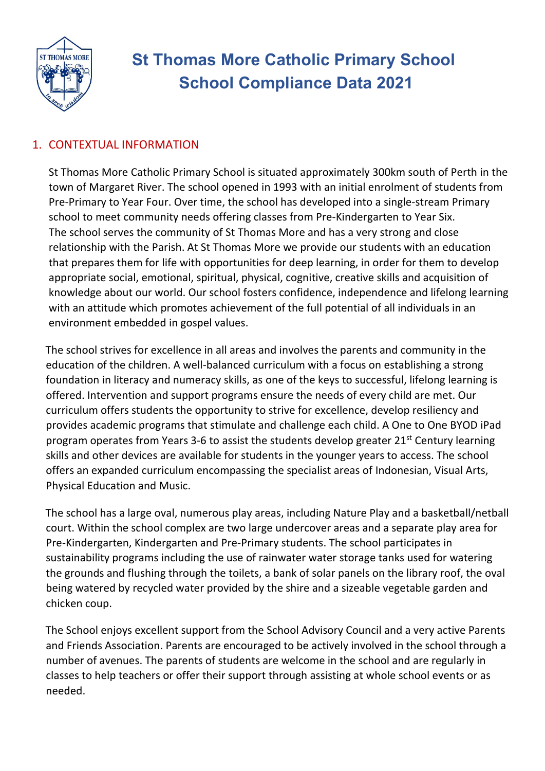

# **St Thomas More Catholic Primary School School Compliance Data 2021**

# 1. CONTEXTUAL INFORMATION

St Thomas More Catholic Primary School is situated approximately 300km south of Perth in the town of Margaret River. The school opened in 1993 with an initial enrolment of students from Pre-Primary to Year Four. Over time, the school has developed into a single-stream Primary school to meet community needs offering classes from Pre-Kindergarten to Year Six. The school serves the community of St Thomas More and has a very strong and close relationship with the Parish. At St Thomas More we provide our students with an education that prepares them for life with opportunities for deep learning, in order for them to develop appropriate social, emotional, spiritual, physical, cognitive, creative skills and acquisition of knowledge about our world. Our school fosters confidence, independence and lifelong learning with an attitude which promotes achievement of the full potential of all individuals in an environment embedded in gospel values.

The school strives for excellence in all areas and involves the parents and community in the education of the children. A well-balanced curriculum with a focus on establishing a strong foundation in literacy and numeracy skills, as one of the keys to successful, lifelong learning is offered. Intervention and support programs ensure the needs of every child are met. Our curriculum offers students the opportunity to strive for excellence, develop resiliency and provides academic programs that stimulate and challenge each child. A One to One BYOD iPad program operates from Years 3-6 to assist the students develop greater  $21^{st}$  Century learning skills and other devices are available for students in the younger years to access. The school offers an expanded curriculum encompassing the specialist areas of Indonesian, Visual Arts, Physical Education and Music.

The school has a large oval, numerous play areas, including Nature Play and a basketball/netball court. Within the school complex are two large undercover areas and a separate play area for Pre-Kindergarten, Kindergarten and Pre-Primary students. The school participates in sustainability programs including the use of rainwater water storage tanks used for watering the grounds and flushing through the toilets, a bank of solar panels on the library roof, the oval being watered by recycled water provided by the shire and a sizeable vegetable garden and chicken coup.

The School enjoys excellent support from the School Advisory Council and a very active Parents and Friends Association. Parents are encouraged to be actively involved in the school through a number of avenues. The parents of students are welcome in the school and are regularly in classes to help teachers or offer their support through assisting at whole school events or as needed.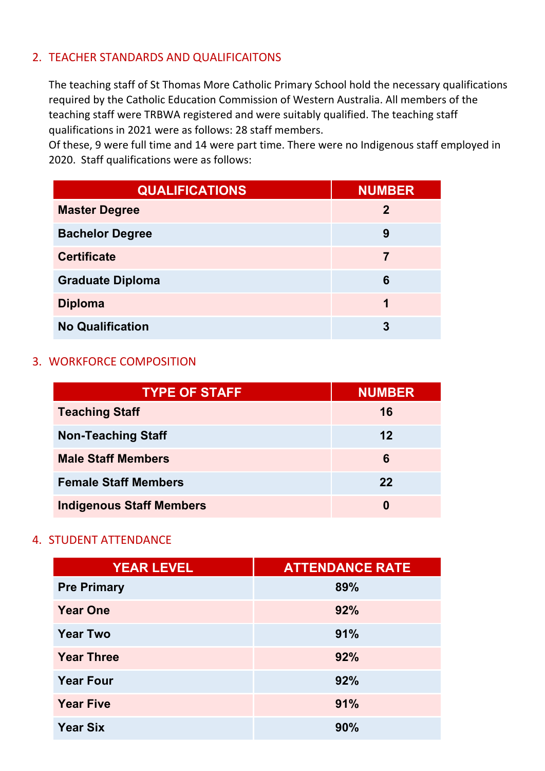# 2. TEACHER STANDARDS AND QUALIFICAITONS

The teaching staff of St Thomas More Catholic Primary School hold the necessary qualifications required by the Catholic Education Commission of Western Australia. All members of the teaching staff were TRBWA registered and were suitably qualified. The teaching staff qualifications in 2021 were as follows: 28 staff members.

Of these, 9 were full time and 14 were part time. There were no Indigenous staff employed in 2020. Staff qualifications were as follows:

| <b>QUALIFICATIONS</b>   | <b>NUMBER</b> |
|-------------------------|---------------|
| <b>Master Degree</b>    | $\mathbf{2}$  |
| <b>Bachelor Degree</b>  | 9             |
| <b>Certificate</b>      | 7             |
| <b>Graduate Diploma</b> | 6             |
| <b>Diploma</b>          | 1             |
| <b>No Qualification</b> | 3             |

### 3. WORKFORCE COMPOSITION

| <b>TYPE OF STAFF</b>            | <b>NUMBER</b> |
|---------------------------------|---------------|
| <b>Teaching Staff</b>           | 16            |
| <b>Non-Teaching Staff</b>       | 12            |
| <b>Male Staff Members</b>       | 6             |
| <b>Female Staff Members</b>     | 22            |
| <b>Indigenous Staff Members</b> | 0             |

#### 4. STUDENT ATTENDANCE

| <b>YEAR LEVEL</b>  | <b>ATTENDANCE RATE</b> |
|--------------------|------------------------|
| <b>Pre Primary</b> | 89%                    |
| <b>Year One</b>    | 92%                    |
| <b>Year Two</b>    | 91%                    |
| <b>Year Three</b>  | 92%                    |
| <b>Year Four</b>   | 92%                    |
| <b>Year Five</b>   | 91%                    |
| <b>Year Six</b>    | 90%                    |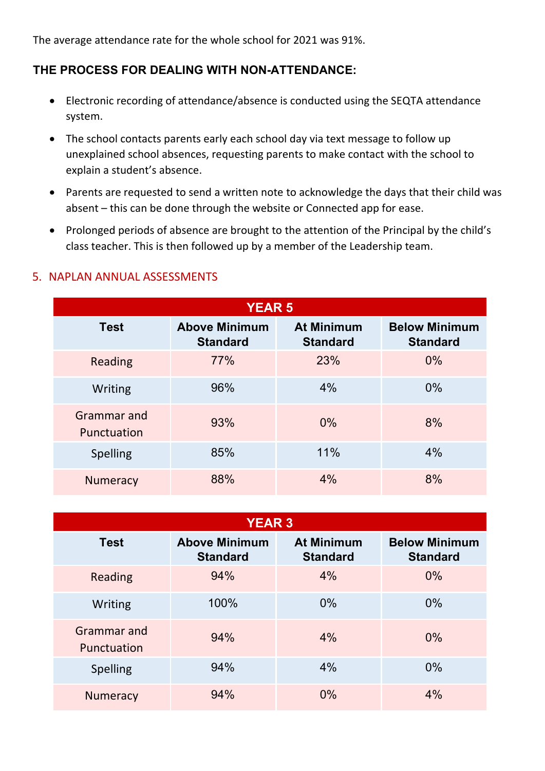The average attendance rate for the whole school for 2021 was 91%.

# **THE PROCESS FOR DEALING WITH NON-ATTENDANCE:**

- Electronic recording of attendance/absence is conducted using the SEQTA attendance system.
- The school contacts parents early each school day via text message to follow up unexplained school absences, requesting parents to make contact with the school to explain a student's absence.
- Parents are requested to send a written note to acknowledge the days that their child was absent – this can be done through the website or Connected app for ease.
- Prolonged periods of absence are brought to the attention of the Principal by the child's class teacher. This is then followed up by a member of the Leadership team.

| 5. NAPLAN ANNUAL ASSESSMENTS |  |
|------------------------------|--|
|                              |  |

| <b>YEAR 5</b>              |                                         |                                      |                                         |
|----------------------------|-----------------------------------------|--------------------------------------|-----------------------------------------|
| <b>Test</b>                | <b>Above Minimum</b><br><b>Standard</b> | <b>At Minimum</b><br><b>Standard</b> | <b>Below Minimum</b><br><b>Standard</b> |
| Reading                    | 77%                                     | 23%                                  | $0\%$                                   |
| Writing                    | 96%                                     | 4%                                   | $0\%$                                   |
| Grammar and<br>Punctuation | 93%                                     | $0\%$                                | 8%                                      |
| <b>Spelling</b>            | 85%                                     | 11%                                  | 4%                                      |
| <b>Numeracy</b>            | 88%                                     | 4%                                   | 8%                                      |

| <b>YEAR 3</b>                     |                                         |                                      |                                         |
|-----------------------------------|-----------------------------------------|--------------------------------------|-----------------------------------------|
| <b>Test</b>                       | <b>Above Minimum</b><br><b>Standard</b> | <b>At Minimum</b><br><b>Standard</b> | <b>Below Minimum</b><br><b>Standard</b> |
| Reading                           | 94%                                     | 4%                                   | $0\%$                                   |
| Writing                           | 100%                                    | $0\%$                                | $0\%$                                   |
| <b>Grammar</b> and<br>Punctuation | 94%                                     | 4%                                   | $0\%$                                   |
| Spelling                          | 94%                                     | 4%                                   | $0\%$                                   |
| <b>Numeracy</b>                   | 94%                                     | 0%                                   | 4%                                      |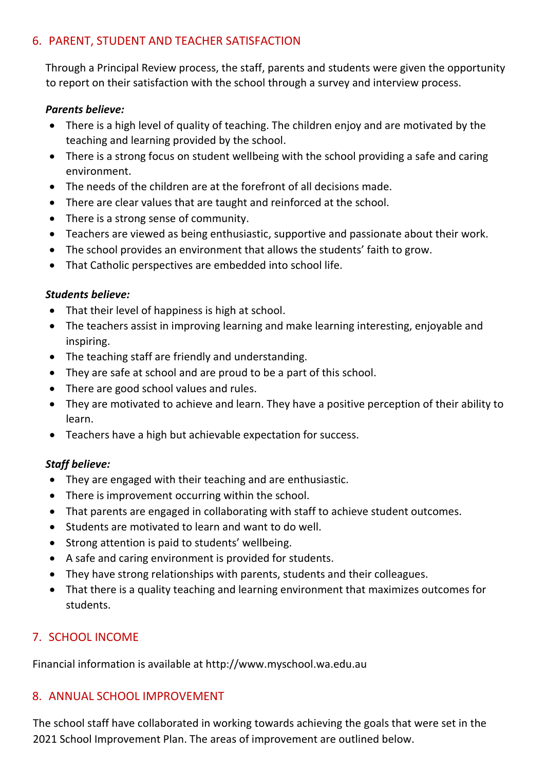# 6. PARENT, STUDENT AND TEACHER SATISFACTION

Through a Principal Review process, the staff, parents and students were given the opportunity to report on their satisfaction with the school through a survey and interview process.

### *Parents believe:*

- There is a high level of quality of teaching. The children enjoy and are motivated by the teaching and learning provided by the school.
- There is a strong focus on student wellbeing with the school providing a safe and caring environment.
- The needs of the children are at the forefront of all decisions made.
- There are clear values that are taught and reinforced at the school.
- There is a strong sense of community.
- Teachers are viewed as being enthusiastic, supportive and passionate about their work.
- The school provides an environment that allows the students' faith to grow.
- That Catholic perspectives are embedded into school life.

### *Students believe:*

- That their level of happiness is high at school.
- The teachers assist in improving learning and make learning interesting, enjoyable and inspiring.
- The teaching staff are friendly and understanding.
- They are safe at school and are proud to be a part of this school.
- There are good school values and rules.
- They are motivated to achieve and learn. They have a positive perception of their ability to learn.
- Teachers have a high but achievable expectation for success.

#### *Staff believe:*

- They are engaged with their teaching and are enthusiastic.
- There is improvement occurring within the school.
- That parents are engaged in collaborating with staff to achieve student outcomes.
- Students are motivated to learn and want to do well.
- Strong attention is paid to students' wellbeing.
- A safe and caring environment is provided for students.
- They have strong relationships with parents, students and their colleagues.
- That there is a quality teaching and learning environment that maximizes outcomes for students.

# 7. SCHOOL INCOME

Financial information is available at http://www.myschool.wa.edu.au

## 8. ANNUAL SCHOOL IMPROVEMENT

The school staff have collaborated in working towards achieving the goals that were set in the 2021 School Improvement Plan. The areas of improvement are outlined below.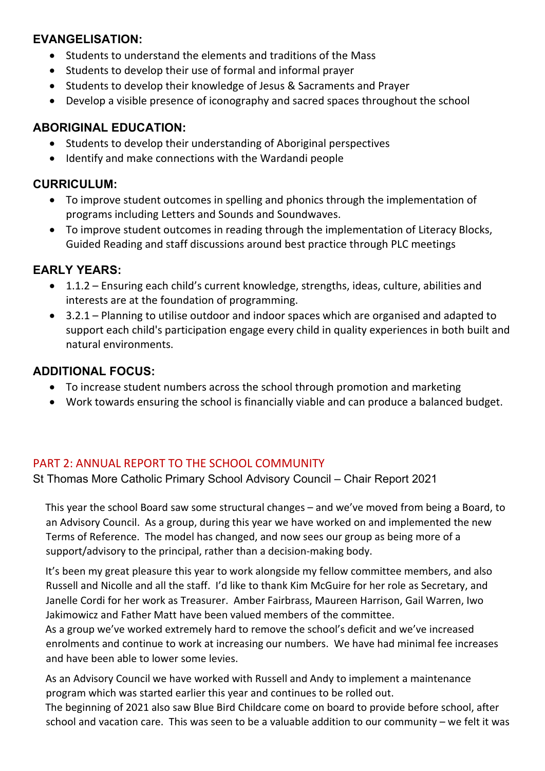# **EVANGELISATION:**

- Students to understand the elements and traditions of the Mass
- Students to develop their use of formal and informal prayer
- Students to develop their knowledge of Jesus & Sacraments and Prayer
- Develop a visible presence of iconography and sacred spaces throughout the school

## **ABORIGINAL EDUCATION:**

- Students to develop their understanding of Aboriginal perspectives
- Identify and make connections with the Wardandi people

## **CURRICULUM:**

- To improve student outcomes in spelling and phonics through the implementation of programs including Letters and Sounds and Soundwaves.
- To improve student outcomes in reading through the implementation of Literacy Blocks, Guided Reading and staff discussions around best practice through PLC meetings

# **EARLY YEARS:**

- 1.1.2 Ensuring each child's current knowledge, strengths, ideas, culture, abilities and interests are at the foundation of programming.
- 3.2.1 Planning to utilise outdoor and indoor spaces which are organised and adapted to support each child's participation engage every child in quality experiences in both built and natural environments.

## **ADDITIONAL FOCUS:**

- To increase student numbers across the school through promotion and marketing
- Work towards ensuring the school is financially viable and can produce a balanced budget.

# PART 2: ANNUAL REPORT TO THE SCHOOL COMMUNITY

St Thomas More Catholic Primary School Advisory Council – Chair Report 2021

This year the school Board saw some structural changes – and we've moved from being a Board, to an Advisory Council. As a group, during this year we have worked on and implemented the new Terms of Reference. The model has changed, and now sees our group as being more of a support/advisory to the principal, rather than a decision-making body.

It's been my great pleasure this year to work alongside my fellow committee members, and also Russell and Nicolle and all the staff. I'd like to thank Kim McGuire for her role as Secretary, and Janelle Cordi for her work as Treasurer. Amber Fairbrass, Maureen Harrison, Gail Warren, Iwo Jakimowicz and Father Matt have been valued members of the committee.

As a group we've worked extremely hard to remove the school's deficit and we've increased enrolments and continue to work at increasing our numbers. We have had minimal fee increases and have been able to lower some levies.

As an Advisory Council we have worked with Russell and Andy to implement a maintenance program which was started earlier this year and continues to be rolled out.

The beginning of 2021 also saw Blue Bird Childcare come on board to provide before school, after school and vacation care. This was seen to be a valuable addition to our community – we felt it was